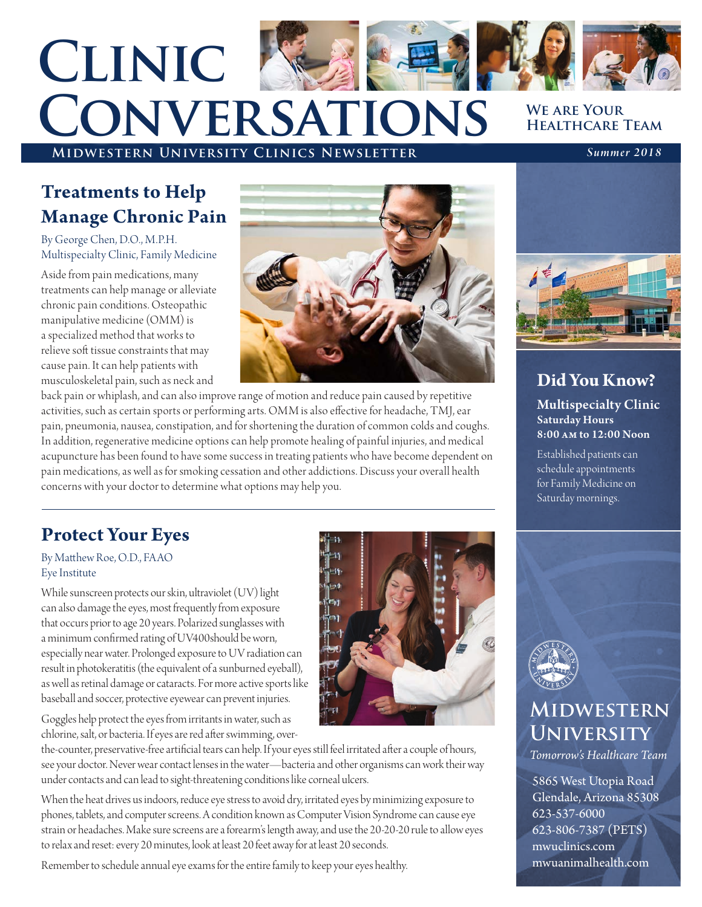# **Midwestern University Clinics Newsletter** *Summer 2018* **Clinic Conversations**

#### **We are Your Healthcare Team**

### **Treatments to Help Manage Chronic Pain**

By George Chen, D.O., M.P.H. Multispecialty Clinic, Family Medicine

Aside from pain medications, many treatments can help manage or alleviate chronic pain conditions. Osteopathic manipulative medicine (OMM) is a specialized method that works to relieve soft tissue constraints that may cause pain. It can help patients with musculoskeletal pain, such as neck and



back pain or whiplash, and can also improve range of motion and reduce pain caused by repetitive activities, such as certain sports or performing arts. OMM is also effective for headache, TMJ, ear pain, pneumonia, nausea, constipation, and for shortening the duration of common colds and coughs. In addition, regenerative medicine options can help promote healing of painful injuries, and medical acupuncture has been found to have some success in treating patients who have become dependent on pain medications, as well as for smoking cessation and other addictions. Discuss your overall health concerns with your doctor to determine what options may help you.

### **Protect Your Eyes**

#### By Matthew Roe, O.D., FA AO Eye Institute

While sunscreen protects our skin, ultraviolet (UV) light can also damage the eyes, most frequently from exposure that occurs prior to age 20 years. Polarized sunglasses with a minimum confirmed rating of UV400should be worn, especially near water. Prolonged exposure to UV radiation can result in photokeratitis (the equivalent of a sunburned eyeball), as well as retinal damage or cataracts. For more active sports like baseball and soccer, protective eyewear can prevent injuries.

Goggles help protect the eyes from irritants in water, such as chlorine, salt, or bacteria. If eyes are red after swimming, over-

the-counter, preservative-free artificial tears can help. If your eyes still feel irritated after a couple of hours, see your doctor. Never wear contact lenses in the water—bacteria and other organisms can work their way under contacts and can lead to sight-threatening conditions like corneal ulcers.

When the heat drives us indoors, reduce eye stress to avoid dry, irritated eyes by minimizing exposure to phones, tablets, and computer screens. A condition known as Computer Vision Syndrome can cause eye strain or headaches. Make sure screens are a forearm's length away, and use the 20-20-20 rule to allow eyes to relax and reset: every 20 minutes, look at least 20 feet away for at least 20 seconds.

Remember to schedule annual eye exams for the entire family to keep your eyes healthy.





### **Did You Know?**

Multispecialty Clinic Saturday Hours 8:00 am to 12:00 Noon

Established patients can schedule appointments for Family Medicine on Saturday mornings.



### **Midwestern University**

*Tomorrow's Healthcare Team*

5865 West Utopia Road Glendale, Arizona 85308 623-537-6000 623-806-7387 (PETS) mwuclinics.com mwuanimalhealth.com